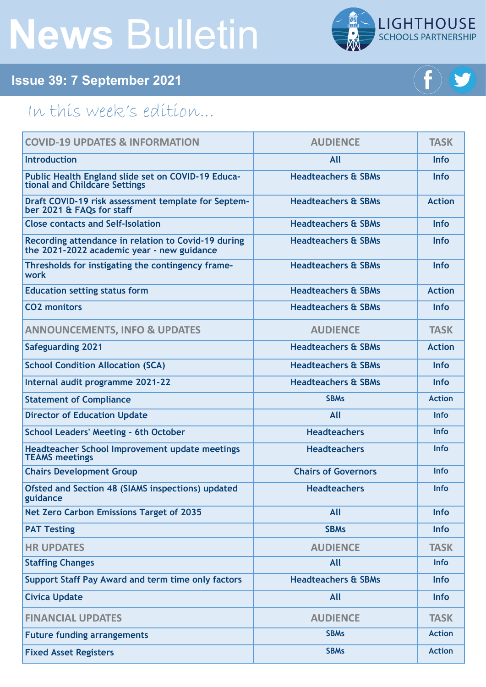# **News** Bulletin



## **Issue 39: 7 September 2021**

# In this week's edition...

| <b>COVID-19 UPDATES &amp; INFORMATION</b>                                                         | <b>AUDIENCE</b>                | <b>TASK</b>   |
|---------------------------------------------------------------------------------------------------|--------------------------------|---------------|
| <b>Introduction</b>                                                                               | All                            | <b>Info</b>   |
| Public Health England slide set on COVID-19 Educa-<br>tional and Childcare Settings               | <b>Headteachers &amp; SBMs</b> | <b>Info</b>   |
| Draft COVID-19 risk assessment template for Septem-<br>ber 2021 & FAQs for staff                  | <b>Headteachers &amp; SBMs</b> | <b>Action</b> |
| <b>Close contacts and Self-Isolation</b>                                                          | <b>Headteachers &amp; SBMs</b> | <b>Info</b>   |
| Recording attendance in relation to Covid-19 during<br>the 2021-2022 academic year - new guidance | <b>Headteachers &amp; SBMs</b> | <b>Info</b>   |
| Thresholds for instigating the contingency frame-<br>work                                         | <b>Headteachers &amp; SBMs</b> | <b>Info</b>   |
| <b>Education setting status form</b>                                                              | <b>Headteachers &amp; SBMs</b> | <b>Action</b> |
| <b>CO2 monitors</b>                                                                               | <b>Headteachers &amp; SBMs</b> | <b>Info</b>   |
| <b>ANNOUNCEMENTS, INFO &amp; UPDATES</b>                                                          | <b>AUDIENCE</b>                | <b>TASK</b>   |
| <b>Safeguarding 2021</b>                                                                          | <b>Headteachers &amp; SBMs</b> | <b>Action</b> |
| <b>School Condition Allocation (SCA)</b>                                                          | <b>Headteachers &amp; SBMs</b> | <b>Info</b>   |
| Internal audit programme 2021-22                                                                  | <b>Headteachers &amp; SBMs</b> | <b>Info</b>   |
| <b>Statement of Compliance</b>                                                                    | <b>SBMs</b>                    | <b>Action</b> |
| <b>Director of Education Update</b>                                                               | All                            | <b>Info</b>   |
| <b>School Leaders' Meeting - 6th October</b>                                                      | <b>Headteachers</b>            | <b>Info</b>   |
| <b>Headteacher School Improvement update meetings</b><br><b>TEAMS</b> meetings                    | <b>Headteachers</b>            | <b>Info</b>   |
| <b>Chairs Development Group</b>                                                                   | <b>Chairs of Governors</b>     | <b>Info</b>   |
| Ofsted and Section 48 (SIAMS inspections) updated<br>guidance                                     | <b>Headteachers</b>            | Info          |
| <b>Net Zero Carbon Emissions Target of 2035</b>                                                   | All                            | Info          |
| <b>PAT Testing</b>                                                                                | <b>SBMs</b>                    | <b>Info</b>   |
| <b>HR UPDATES</b>                                                                                 | <b>AUDIENCE</b>                | <b>TASK</b>   |
| <b>Staffing Changes</b>                                                                           | All                            | <b>Info</b>   |
| Support Staff Pay Award and term time only factors                                                | <b>Headteachers &amp; SBMs</b> | <b>Info</b>   |
| <b>Civica Update</b>                                                                              | All                            | <b>Info</b>   |
| <b>FINANCIAL UPDATES</b>                                                                          | <b>AUDIENCE</b>                | <b>TASK</b>   |
| <b>Future funding arrangements</b>                                                                | <b>SBMs</b>                    | <b>Action</b> |
| <b>Fixed Asset Registers</b>                                                                      | <b>SBMs</b>                    | <b>Action</b> |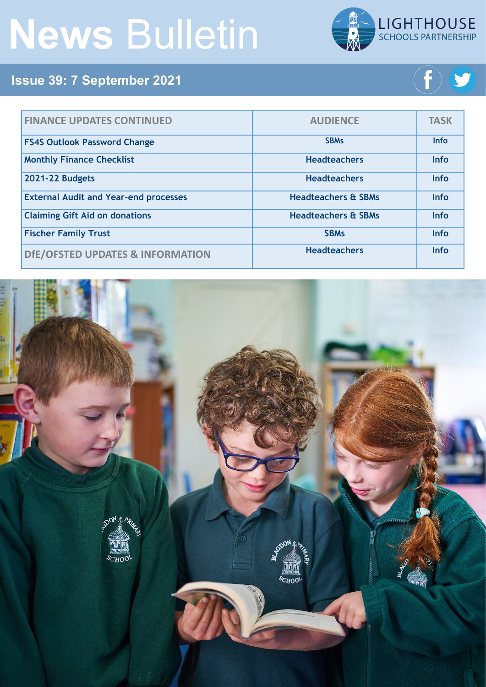# **News** Bulletin



# **Issue 39: 7 September 2021**



| <b>FINANCE UPDATES CONTINUED</b>             | <b>AUDIENCE</b>                | <b>TASK</b> |
|----------------------------------------------|--------------------------------|-------------|
| <b>FS4S Outlook Password Change</b>          | <b>SBMs</b>                    | <b>Info</b> |
| <b>Monthly Finance Checklist</b>             | <b>Headteachers</b>            | <b>Info</b> |
| 2021-22 Budgets                              | <b>Headteachers</b>            | <b>Info</b> |
| <b>External Audit and Year-end processes</b> | <b>Headteachers &amp; SBMs</b> | <b>Info</b> |
| <b>Claiming Gift Aid on donations</b>        | <b>Headteachers &amp; SBMs</b> | <b>Info</b> |
| <b>Fischer Family Trust</b>                  | <b>SBMs</b>                    | <b>Info</b> |
| DfE/OFSTED UPDATES & INFORMATION             | <b>Headteachers</b>            | <b>Info</b> |

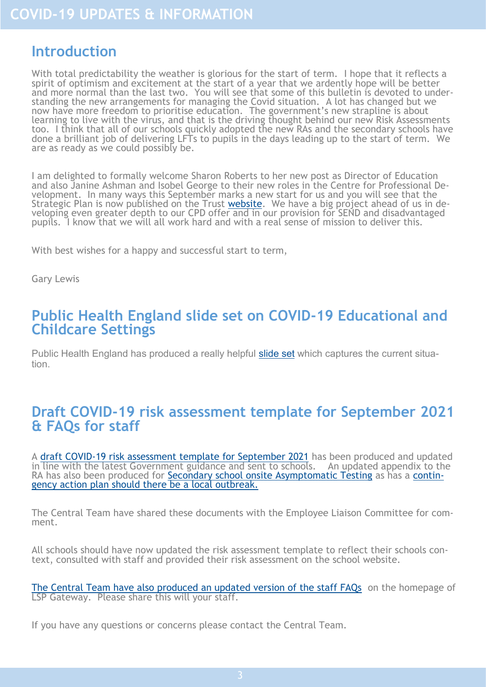#### <span id="page-2-0"></span>**Introduction**

With total predictability the weather is glorious for the start of term. I hope that it reflects a spirit of optimism and excitement at the start of a year that we ardently hope will be better and more normal than the last two. You will see that some of this bulletin is devoted to understanding the new arrangements for managing the Covid situation. A lot has changed but we now have more freedom to prioritise education. The government's new strapline is about learning to live with the virus, and that is the driving thought behind our new Risk Assessments too. I think that all of our schools quickly adopted the new RAs and the secondary schools have done a brilliant job of delivering LFTs to pupils in the days leading up to the start of term. We are as ready as we could possibly be.

I am delighted to formally welcome Sharon Roberts to her new post as Director of Education and also Janine Ashman and Isobel George to their new roles in the Centre for Professional Development. In many ways this September marks a new start for us and you will see that the Strategic Plan is now published on the Trust <u>website</u>. We have a big project ahead of us in developing even greater depth to our CPD offer and in our provision for SEND and disadvantaged pupils. I know that we will all work hard and with a real sense of mission to deliver this.

With best wishes for a happy and successful start to term,

Gary Lewis

#### **Public Health England slide set on COVID-19 Educational and Childcare Settings**

Public Health England has produced a really helpful [slide set](https://foldr.lsp.org.uk/public/W79ON) which captures the current situation.

#### **Draft COVID-19 risk assessment template for September 2021 & FAQs for staff**

A draft COVID-[19 risk assessment template for September 2021](https://foldr.lsp.org.uk/public/P14MP) has been produced and updated in line with the latest Government guidance and sent to schools. An updated appendix to the RA has also been produced for **[Secondary school onsite Asymptomatic Testing](https://foldr.lsp.org.uk/public/N4JKW)** as has a [contin](https://foldr.lsp.org.uk/public/P8G5P)[gency action plan should there be a local outbreak.](https://foldr.lsp.org.uk/public/P8G5P)

The Central Team have shared these documents with the Employee Liaison Committee for comment.

All schools should have now updated the risk assessment template to reflect their schools context, consulted with staff and provided their risk assessment on the school website.

[The Central Team have also produced an updated version of the staff FAQs](https://lsp.rewardgateway.co.uk/SmartHub?page=392447) on the homepage of LSP Gateway. Please share this will your staff.

If you have any questions or concerns please contact the Central Team.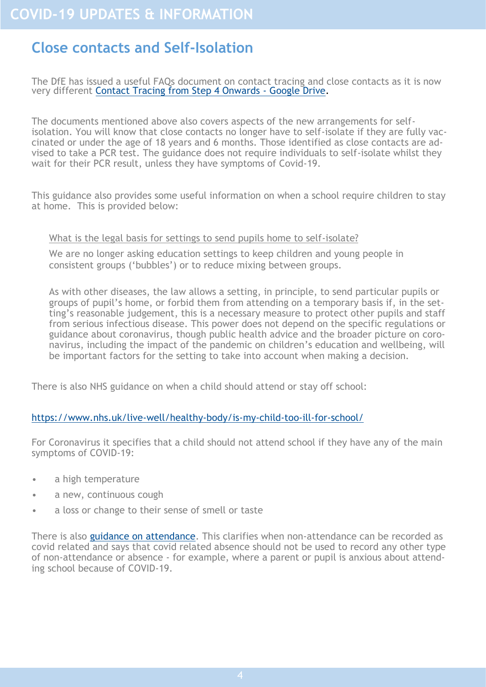## <span id="page-3-0"></span>**Close contacts and Self-Isolation**

The DfE has issued a useful FAQs document on contact tracing and close contacts as it is now very different [Contact Tracing from Step 4 Onwards](https://drive.google.com/drive/folders/1X5SgRwxSIBJNnAGnT8rroKeX8rVpXEJI) - Google Drive.

The documents mentioned above also covers aspects of the new arrangements for selfisolation. You will know that close contacts no longer have to self-isolate if they are fully vaccinated or under the age of 18 years and 6 months. Those identified as close contacts are advised to take a PCR test. The guidance does not require individuals to self-isolate whilst they wait for their PCR result, unless they have symptoms of Covid-19.

This guidance also provides some useful information on when a school require children to stay at home. This is provided below:

#### What is the legal basis for settings to send pupils home to self-isolate?

We are no longer asking education settings to keep children and young people in consistent groups ('bubbles') or to reduce mixing between groups.

As with other diseases, the law allows a setting, in principle, to send particular pupils or groups of pupil's home, or forbid them from attending on a temporary basis if, in the setting's reasonable judgement, this is a necessary measure to protect other pupils and staff from serious infectious disease. This power does not depend on the specific regulations or guidance about coronavirus, though public health advice and the broader picture on coronavirus, including the impact of the pandemic on children's education and wellbeing, will be important factors for the setting to take into account when making a decision.

There is also NHS guidance on when a child should attend or stay off school:

#### [https://www.nhs.uk/live](https://www.nhs.uk/live-well/healthy-body/is-my-child-too-ill-for-school/)-well/healthy-body/is-my-child-too-ill-for-school/

For Coronavirus it specifies that a child should not attend school if they have any of the main symptoms of COVID-19:

- a high temperature
- a new, continuous cough
- a loss or change to their sense of smell or taste

There is also [guidance on attendance.](https://www.gov.uk/government/publications/school-attendance) This clarifies when non-attendance can be recorded as covid related and says that covid related absence should not be used to record any other type of non-attendance or absence - for example, where a parent or pupil is anxious about attending school because of COVID-19.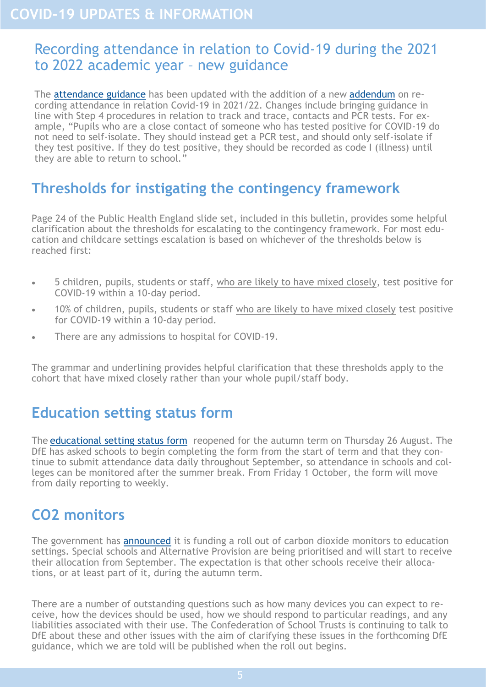#### <span id="page-4-0"></span>Recording attendance in relation to Covid-19 during the 2021 to 2022 academic year – new guidance

The [attendance guidance](https://www.gov.uk/government/publications/school-attendance) has been updated with the addition of a new [addendum](https://www.gov.uk/government/publications/school-attendance/addendum-recording-attendance-in-relation-to-coronavirus-covid-19-during-the-2021-to-2022-academic-year) on recording attendance in relation Covid-19 in 2021/22. Changes include bringing guidance in line with Step 4 procedures in relation to track and trace, contacts and PCR tests. For example, "Pupils who are a close contact of someone who has tested positive for COVID-19 do not need to self-isolate. They should instead get a PCR test, and should only self-isolate if they test positive. If they do test positive, they should be recorded as code I (illness) until they are able to return to school."

# **Thresholds for instigating the contingency framework**

Page 24 of the Public Health England slide set, included in this bulletin, provides some helpful clarification about the thresholds for escalating to the contingency framework. For most education and childcare settings escalation is based on whichever of the thresholds below is reached first:

- 5 children, pupils, students or staff, who are likely to have mixed closely, test positive for COVID-19 within a 10-day period.
- 10% of children, pupils, students or staff who are likely to have mixed closely test positive for COVID-19 within a 10-day period.
- There are any admissions to hospital for COVID-19.

The grammar and underlining provides helpful clarification that these thresholds apply to the cohort that have mixed closely rather than your whole pupil/staff body.

#### **Education setting status form**

The [educational setting status form](https://onlinecollections.des.fasst.org.uk/fastform/educational-setting-status) reopened for the autumn term on Thursday 26 August. The DfE has asked schools to begin completing the form from the start of term and that they continue to submit attendance data daily throughout September, so attendance in schools and colleges can be monitored after the summer break. From Friday 1 October, the form will move from daily reporting to weekly.

# **CO2 monitors**

The government has **[announced](https://www.gov.uk/government/news/all-schools-to-receive-carbon-dioxide-monitors?utm_source=23%20August%202021%20C19&utm_medium=Daily%20Email%20C19&utm_campaign=DfE%20C19)** it is funding a roll out of carbon dioxide monitors to education settings. Special schools and Alternative Provision are being prioritised and will start to receive their allocation from September. The expectation is that other schools receive their allocations, or at least part of it, during the autumn term.

There are a number of outstanding questions such as how many devices you can expect to receive, how the devices should be used, how we should respond to particular readings, and any liabilities associated with their use. The Confederation of School Trusts is continuing to talk to DfE about these and other issues with the aim of clarifying these issues in the forthcoming DfE guidance, which we are told will be published when the roll out begins.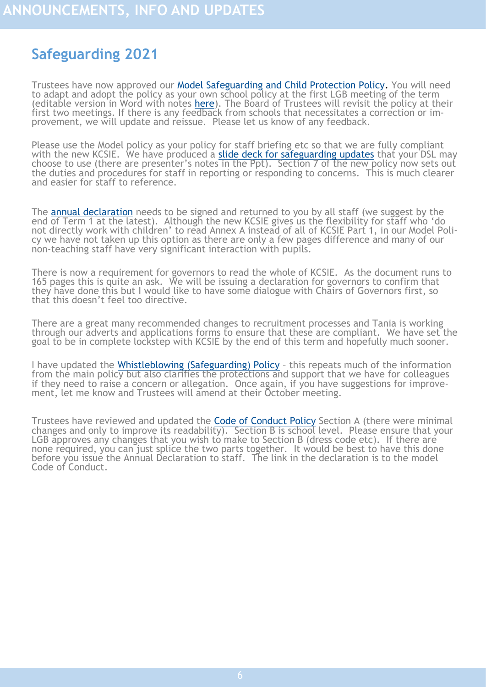# <span id="page-5-0"></span>**Safeguarding 2021**

Trustees have now approved our [Model Safeguarding and Child Protection Policy.](https://foldr.lsp.org.uk/flinks/LSP-Safeguarding-Model-Policy-21) You will need to adapt and adopt the policy as your own school policy at the first LGB meeting of the term (editable version in Word with notes [here\)](https://foldr.lsp.org.uk/flinks/LSP-Safeguarding-Policy-editable). The Board of Trustees will revisit the policy at their first two meetings. If there is any feedback from schools that necessitates a correction or improvement, we will update and reissue. Please let us know of any feedback.

Please use the Model policy as your policy for staff briefing etc so that we are fully compliant with the new KCSIE. We have produced a [slide deck for safeguarding updates](https://foldr.lsp.org.uk/flinks/Safeguarding-updates-slide-deck) that your DSL may choose to use (there are presenter's notes in the Ppt). Section 7 of the new policy now sets out the duties and procedures for staff in reporting or responding to concerns. This is much clearer and easier for staff to reference.

The [annual declaration](https://foldr.lsp.org.uk/flinks/Safeguarding-annual-declaration) needs to be signed and returned to you by all staff (we suggest by the end of Term 1 at the latest). Although the new KCSIE gives us the flexibility for staff who 'do not directly work with children' to read Annex A instead of all of KCSIE Part 1, in our Model Policy we have not taken up this option as there are only a few pages difference and many of our non-teaching staff have very significant interaction with pupils.

There is now a requirement for governors to read the whole of KCSIE. As the document runs to 165 pages this is quite an ask. We will be issuing a declaration for governors to confirm that they have done this but I would like to have some dialogue with Chairs of Governors first, so that this doesn't feel too directive.

There are a great many recommended changes to recruitment processes and Tania is working through our adverts and applications forms to ensure that these are compliant. We have set the goal to be in complete lockstep with KCSIE by the end of this term and hopefully much sooner.

I have updated the [Whistleblowing \(Safeguarding\) Policy](https://foldr.lsp.org.uk/flinks/LSP-whistleblowing-policy) - this repeats much of the information from the main policy but also clarifies the protections and support that we have for colleagues if they need to raise a concern or allegation. Once again, if you have suggestions for improvement, let me know and Trustees will amend at their October meeting.

Trustees have reviewed and updated the **[Code of Conduct Policy](https://foldr.lsp.org.uk/flinks/Code-of-Conduct)** Section A (there were minimal changes and only to improve its readability). Section B is school level. Please ensure that your LGB approves any changes that you wish to make to Section B (dress code etc). If there are none required, you can just splice the two parts together. It would be best to have this done before you issue the Annual Declaration to staff. The link in the declaration is to the model Code of Conduct.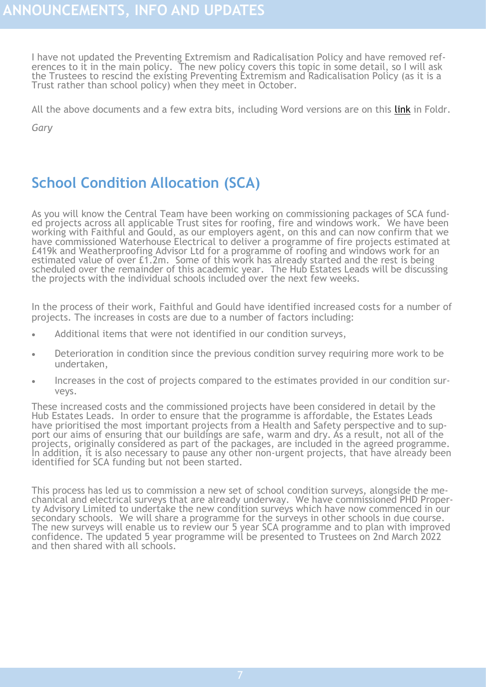<span id="page-6-0"></span>I have not updated the Preventing Extremism and Radicalisation Policy and have removed references to it in the main policy. The new policy covers this topic in some detail, so I will ask the Trustees to rescind the existing Preventing Extremism and Radicalisation Policy (as it is a Trust rather than school policy) when they meet in October.

All the above documents and a few extra bits, including Word versions are on this [link](https://foldr.lsp.org.uk/flinks/Start-of-term-2021-sept) in Foldr.

*Gary* 

# **School Condition Allocation (SCA)**

As you will know the Central Team have been working on commissioning packages of SCA funded projects across all applicable Trust sites for roofing, fire and windows work. We have been working with Faithful and Gould, as our employers agent, on this and can now confirm that we have commissioned Waterhouse Electrical to deliver a programme of fire projects estimated at £419k and Weatherproofing Advisor Ltd for a programme of roofing and windows work for an estimated value of over £1.2m. Some of this work has already started and the rest is being scheduled over the remainder of this academic year. The Hub Estates Leads will be discussing the projects with the individual schools included over the next few weeks.

In the process of their work, Faithful and Gould have identified increased costs for a number of projects. The increases in costs are due to a number of factors including:

- Additional items that were not identified in our condition surveys,
- Deterioration in condition since the previous condition survey requiring more work to be undertaken,
- Increases in the cost of projects compared to the estimates provided in our condition surveys.

These increased costs and the commissioned projects have been considered in detail by the Hub Estates Leads. In order to ensure that the programme is affordable, the Estates Leads have prioritised the most important projects from a Health and Safety perspective and to support our aims of ensuring that our buildings are safe, warm and dry. As a result, not all of the projects, originally considered as part of the packages, are included in the agreed programme. In addition, it is also necessary to pause any other non-urgent projects, that have already been identified for SCA funding but not been started.

This process has led us to commission a new set of school condition surveys, alongside the mechanical and electrical surveys that are already underway. We have commissioned PHD Property Advisory Limited to undertake the new condition surveys which have now commenced in our secondary schools. We will share a programme for the surveys in other schools in due course. The new surveys will enable us to review our 5 year SCA programme and to plan with improved confidence. The updated 5 year programme will be presented to Trustees on 2nd March 2022 and then shared with all schools.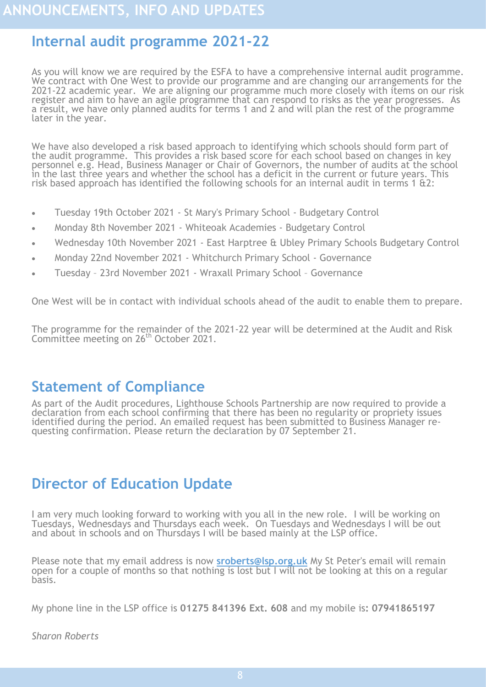## <span id="page-7-0"></span>**Internal audit programme 2021-22**

As you will know we are required by the ESFA to have a comprehensive internal audit programme. We contract with One West to provide our programme and are changing our arrangements for the 2021-22 academic year. We are aligning our programme much more closely with items on our risk register and aim to have an agile programme that can respond to risks as the year progresses. As a result, we have only planned audits for terms 1 and 2 and will plan the rest of the programme later in the year.

We have also developed a risk based approach to identifying which schools should form part of the audit programme. This provides a risk based score for each school based on changes in key personnel e.g. Head, Business Manager or Chair of Governors, the number of audits at the school in the last three years and whether the school has a deficit in the current or future years. This risk based approach has identified the following schools for an internal audit in terms 1  $\alpha$ 2:

- Tuesday 19th October 2021 St Mary's Primary School Budgetary Control
- Monday 8th November 2021 Whiteoak Academies Budgetary Control
- Wednesday 10th November 2021 East Harptree & Ubley Primary Schools Budgetary Control
- Monday 22nd November 2021 Whitchurch Primary School Governance
- Tuesday 23rd November 2021 Wraxall Primary School Governance

One West will be in contact with individual schools ahead of the audit to enable them to prepare.

The programme for the remainder of the 2021-22 year will be determined at the Audit and Risk Committee meeting on 26th October 2021.

#### **Statement of Compliance**

As part of the Audit procedures, Lighthouse Schools Partnership are now required to provide a declaration from each school confirming that there has been no regularity or propriety issues identified during the period. An emailed request has been submitted to Business Manager requesting confirmation. Please return the declaration by 07 September 21.

# **Director of Education Update**

I am very much looking forward to working with you all in the new role. I will be working on Tuesdays, Wednesdays and Thursdays each week. On Tuesdays and Wednesdays I will be out and about in schools and on Thursdays I will be based mainly at the LSP office.

Please note that my email address is now **[sroberts@lsp.org.uk](mailto:sroberts@lsp.org.uk)** My St Peter's email will remain open for a couple of months so that nothing is lost but I will not be looking at this on a regular basis.

My phone line in the LSP office is **01275 841396 Ext. 608** and my mobile is**: 07941865197**

*Sharon Roberts*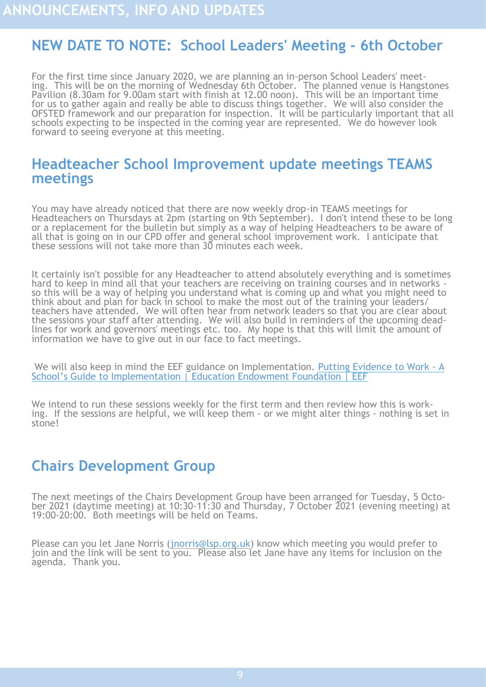# <span id="page-8-0"></span>**NEW DATE TO NOTE: School Leaders' Meeting - 6th October**

For the first time since January 2020, we are planning an in-person School Leaders' meeting. This will be on the morning of Wednesday 6th October. The planned venue is Hangstones Pavilion (8.30am for 9.00am start with finish at 12.00 noon). This will be an important time for us to gather again and really be able to discuss things together. We will also consider the OFSTED framework and our preparation for inspection. It will be particularly important that all schools expecting to be inspected in the coming year are represented. We do however look forward to seeing everyone at this meeting.

#### **Headteacher School Improvement update meetings TEAMS meetings**

You may have already noticed that there are now weekly drop-in TEAMS meetings for Headteachers on Thursdays at 2pm (starting on 9th September). I don't intend these to be long or a replacement for the bulletin but simply as a way of helping Headteachers to be aware of all that is going on in our CPD offer and general school improvement work. I anticipate that these sessions will not take more than 30 minutes each week.

It certainly isn't possible for any Headteacher to attend absolutely everything and is sometimes hard to keep in mind all that your teachers are receiving on training courses and in networks so this will be a way of helping you understand what is coming up and what you might need to think about and plan for back in school to make the most out of the training your leaders/ teachers have attended. We will often hear from network leaders so that you are clear about the sessions your staff after attending. We will also build in reminders of the upcoming deadlines for work and governors' meetings etc. too. My hope is that this will limit the amount of information we have to give out in our face to fact meetings.

We will also keep in mind the EEF guidance on Implementation. [Putting Evidence to Work](https://educationendowmentfoundation.org.uk/tools/guidance-reports/a-schools-guide-to-implementation/) - A School'[s Guide to Implementation | Education Endowment Foundation | EEF](https://educationendowmentfoundation.org.uk/tools/guidance-reports/a-schools-guide-to-implementation/)

We intend to run these sessions weekly for the first term and then review how this is working. If the sessions are helpful, we will keep them - or we might alter things - nothing is set in stone!

#### **Chairs Development Group**

The next meetings of the Chairs Development Group have been arranged for Tuesday, 5 October 2021 (daytime meeting) at 10:30-11:30 and Thursday, 7 October 2021 (evening meeting) at 19:00-20:00. Both meetings will be held on Teams.

Please can you let Jane Norris ([jnorris@lsp.org.uk\)](mailto:jnorris@lsp.org.uk) know which meeting you would prefer to join and the link will be sent to you. Please also let Jane have any items for inclusion on the agenda. Thank you.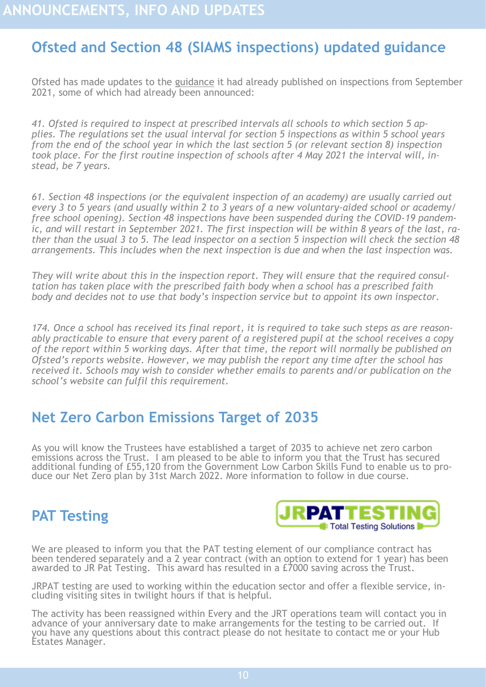# <span id="page-9-0"></span>**Ofsted and Section 48 (SIAMS inspections) updated guidance**

Ofsted has made updates to the [guidance](https://www.gov.uk/government/publications/school-inspection-handbook-eif/schools-inspection-handbook-for-september-2021) it had already published on inspections from September 2021, some of which had already been announced:

*41. Ofsted is required to inspect at prescribed intervals all schools to which section 5 applies. The regulations set the usual interval for section 5 inspections as within 5 school years from the end of the school year in which the last section 5 (or relevant section 8) inspection took place. For the first routine inspection of schools after 4 May 2021 the interval will, instead, be 7 years.*

*61. Section 48 inspections (or the equivalent inspection of an academy) are usually carried out every 3 to 5 years (and usually within 2 to 3 years of a new voluntary-aided school or academy/ free school opening). Section 48 inspections have been suspended during the COVID-19 pandemic, and will restart in September 2021. The first inspection will be within 8 years of the last, rather than the usual 3 to 5. The lead inspector on a section 5 inspection will check the section 48 arrangements. This includes when the next inspection is due and when the last inspection was.* 

*They will write about this in the inspection report. They will ensure that the required consultation has taken place with the prescribed faith body when a school has a prescribed faith body and decides not to use that body's inspection service but to appoint its own inspector.*

*174. Once a school has received its final report, it is required to take such steps as are reasonably practicable to ensure that every parent of a registered pupil at the school receives a copy of the report within 5 working days. After that time, the report will normally be published on Ofsted's reports website. However, we may publish the report any time after the school has received it. Schools may wish to consider whether emails to parents and/or publication on the school's website can fulfil this requirement.*

### **Net Zero Carbon Emissions Target of 2035**

As you will know the Trustees have established a target of 2035 to achieve net zero carbon emissions across the Trust. I am pleased to be able to inform you that the Trust has secured additional funding of £55,120 from the Government Low Carbon Skills Fund to enable us to produce our Net Zero plan by 31st March 2022. More information to follow in due course.

# **PAT Testing**



We are pleased to inform you that the PAT testing element of our compliance contract has been tendered separately and a 2 year contract (with an option to extend for 1 year) has been awarded to JR Pat Testing. This award has resulted in a £7000 saving across the Trust.

JRPAT testing are used to working within the education sector and offer a flexible service, including visiting sites in twilight hours if that is helpful.

The activity has been reassigned within Every and the JRT operations team will contact you in advance of your anniversary date to make arrangements for the testing to be carried out. If you have any questions about this contract please do not hesitate to contact me or your Hub Estates Manager.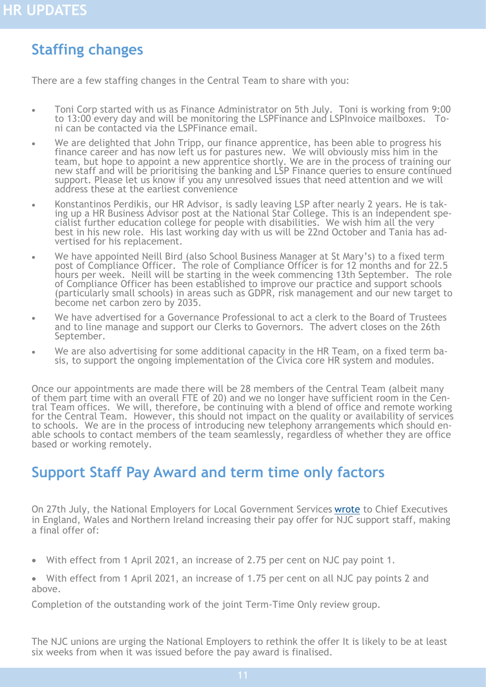## <span id="page-10-0"></span>**Staffing changes**

There are a few staffing changes in the Central Team to share with you:

- Toni Corp started with us as Finance Administrator on 5th July. Toni is working from 9:00 to 13:00 every day and will be monitoring the LSPFinance and LSPInvoice mailboxes. Toni can be contacted via the LSPFinance email.
- We are delighted that John Tripp, our finance apprentice, has been able to progress his finance career and has now left us for pastures new. We will obviously miss him in the team, but hope to appoint a new apprentice shortly. We are in the process of training our new staff and will be prioritising the banking and LSP Finance queries to ensure continued support. Please let us know if you any unresolved issues that need attention and we will address these at the earliest convenience
- Konstantinos Perdikis, our HR Advisor, is sadly leaving LSP after nearly 2 years. He is taking up a HR Business Advisor post at the National Star College. This is an independent specialist further education college for people with disabilities. We wish him all the very best in his new role. His last working day with us will be 22nd October and Tania has advertised for his replacement.
- We have appointed Neill Bird (also School Business Manager at St Mary's) to a fixed term post of Compliance Officer. The role of Compliance Officer is for 12 months and for 22.5 hours per week. Neill will be starting in the week commencing 13th September. The role of Compliance Officer has been established to improve our practice and support schools (particularly small schools) in areas such as GDPR, risk management and our new target to become net carbon zero by 2035.
- We have advertised for a Governance Professional to act a clerk to the Board of Trustees and to line manage and support our Clerks to Governors. The advert closes on the 26th September.
- We are also advertising for some additional capacity in the HR Team, on a fixed term basis, to support the ongoing implementation of the Civica core HR system and modules.

Once our appointments are made there will be 28 members of the Central Team (albeit many of them part time with an overall FTE of 20) and we no longer have sufficient room in the Central Team offices. We will, therefore, be continuing with a blend of office and remote working for the Central Team. However, this should not impact on the quality or availability of services to schools. We are in the process of introducing new telephony arrangements which should enable schools to contact members of the team seamlessly, regardless of whether they are office based or working remotely.

### **Support Staff Pay Award and term time only factors**

On 27th July, the National Employers for Local Government Services [wrote](https://emea01.safelinks.protection.outlook.com/?url=https%3A%2F%2Fascl.us7.list-manage.com%2Ftrack%2Fclick%3Fu%3Ddae6fbf66d6135a8a21b3627d%26id%3Dfc8351ce00%26e%3De28cb6b428&data=04%7C01%7C%7C8b0685dbfbd049abdaa408d9568c850a%7C84df9e7fe9f640afb435aaaaaaaaaaa) to Chief Executives in England, Wales and Northern Ireland increasing their pay offer for NJC support staff, making a final offer of:

- With effect from 1 April 2021, an increase of 2.75 per cent on NJC pay point 1.
- With effect from 1 April 2021, an increase of 1.75 per cent on all NJC pay points 2 and above.

Completion of the outstanding work of the joint Term-Time Only review group.

The NJC unions are urging the National Employers to rethink the offer It is likely to be at least six weeks from when it was issued before the pay award is finalised.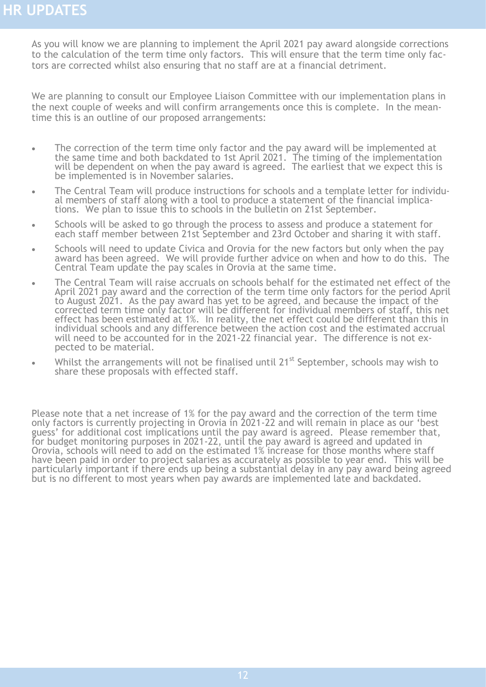<span id="page-11-0"></span>As you will know we are planning to implement the April 2021 pay award alongside corrections to the calculation of the term time only factors. This will ensure that the term time only factors are corrected whilst also ensuring that no staff are at a financial detriment.

We are planning to consult our Employee Liaison Committee with our implementation plans in the next couple of weeks and will confirm arrangements once this is complete. In the meantime this is an outline of our proposed arrangements:

- The correction of the term time only factor and the pay award will be implemented at the same time and both backdated to 1st April 2021. The timing of the implementation will be dependent on when the pay award is agreed. The earliest that we expect this is be implemented is in November salaries.
- The Central Team will produce instructions for schools and a template letter for individual members of staff along with a tool to produce a statement of the financial implications. We plan to issue this to schools in the bulletin on 21st September.
- Schools will be asked to go through the process to assess and produce a statement for each staff member between 21st September and 23rd October and sharing it with staff.
- Schools will need to update Civica and Orovia for the new factors but only when the pay award has been agreed. We will provide further advice on when and how to do this. The Central Team update the pay scales in Orovia at the same time.
- The Central Team will raise accruals on schools behalf for the estimated net effect of the April 2021 pay award and the correction of the term time only factors for the period April to August 2021. As the pay award has yet to be agreed, and because the impact of the corrected term time only factor will be different for individual members of staff, this net effect has been estimated at 1%. In reality, the net effect could be different than this in individual schools and any difference between the action cost and the estimated accrual will need to be accounted for in the 2021-22 financial year. The difference is not expected to be material.
- Whilst the arrangements will not be finalised until 21<sup>st</sup> September, schools may wish to share these proposals with effected staff.

Please note that a net increase of 1% for the pay award and the correction of the term time only factors is currently projecting in Orovia in 2021-22 and will remain in place as our 'best guess' for additional cost implications until the pay award is agreed. Please remember that, for budget monitoring purposes in 2021-22, until the pay award is agreed and updated in Orovia, schools will need to add on the estimated 1% increase for those months where staff have been paid in order to project salaries as accurately as possible to year end. This will be particularly important if there ends up being a substantial delay in any pay award being agreed but is no different to most years when pay awards are implemented late and backdated.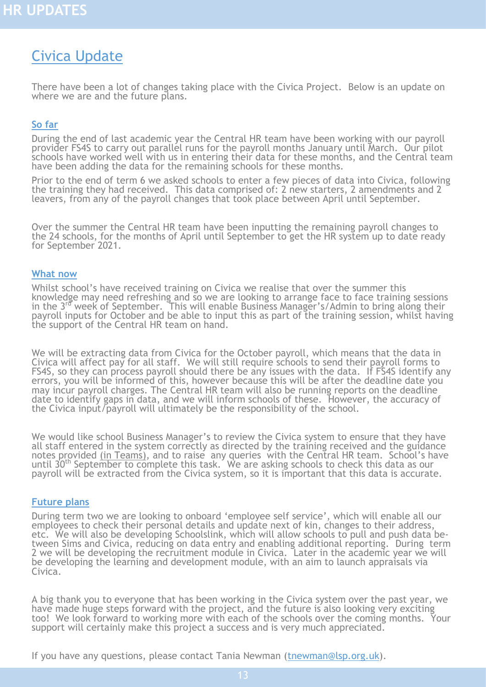# <span id="page-12-0"></span>Civica Update

There have been a lot of changes taking place with the Civica Project. Below is an update on where we are and the future plans.

#### **So far**

During the end of last academic year the Central HR team have been working with our payroll provider FS4S to carry out parallel runs for the payroll months January until March. Our pilot schools have worked well with us in entering their data for these months, and the Central team have been adding the data for the remaining schools for these months.

Prior to the end of term 6 we asked schools to enter a few pieces of data into Civica, following the training they had received. This data comprised of: 2 new starters, 2 amendments and 2 leavers, from any of the payroll changes that took place between April until September.

Over the summer the Central HR team have been inputting the remaining payroll changes to the 24 schools, for the months of April until September to get the HR system up to date ready for September 2021.

#### **What now**

Whilst school's have received training on Civica we realise that over the summer this knowledge may need refreshing and so we are looking to arrange face to face training sessions in the 3rd week of September. This will enable Business Manager's/Admin to bring along their payroll inputs for October and be able to input this as part of the training session, whilst having the support of the Central HR team on hand.

We will be extracting data from Civica for the October payroll, which means that the data in Civica will affect pay for all staff. We will still require schools to send their payroll forms to FS4S, so they can process payroll should there be any issues with the data. If FS4S identify any errors, you will be informed of this, however because this will be after the deadline date you may incur payroll charges. The Central HR team will also be running reports on the deadline date to identify gaps in data, and we will inform schools of these. However, the accuracy of the Civica input/payroll will ultimately be the responsibility of the school.

We would like school Business Manager's to review the Civica system to ensure that they have all staff entered in the system correctly as directed by the training received and the guidance notes provided [\(in Teams\),](https://teams.microsoft.com/_#/school/files/General?threadId=19%3AzT6Wa_y5Z6LpRy5_xJ7PFgoNfd9Atu3NrllMMKqHSws1%40thread.tacv2&ctx=channel&context=General&rootfolder=%252Fsites%252FCivicaCoreSystem-BusinessManagers%252FShared%2520Documents%252FGeneral) and to raise any queries with the Central HR team. School's have until 30<sup>th</sup> September to complete this task. We are asking schools to check this data as our payroll will be extracted from the Civica system, so it is important that this data is accurate.

#### **Future plans**

During term two we are looking to onboard 'employee self service', which will enable all our employees to check their personal details and update next of kin, changes to their address, etc. We will also be developing Schoolslink, which will allow schools to pull and push data between Sims and Civica, reducing on data entry and enabling additional reporting. During term 2 we will be developing the recruitment module in Civica. Later in the academic year we will be developing the learning and development module, with an aim to launch appraisals via Civica.

A big thank you to everyone that has been working in the Civica system over the past year, we have made huge steps forward with the project, and the future is also looking very exciting too! We look forward to working more with each of the schools over the coming months. Your support will certainly make this project a success and is very much appreciated.

If you have any questions, please contact Tania Newman [\(tnewman@lsp.org.uk\)](mailto:tnewman@lsp.org.uk).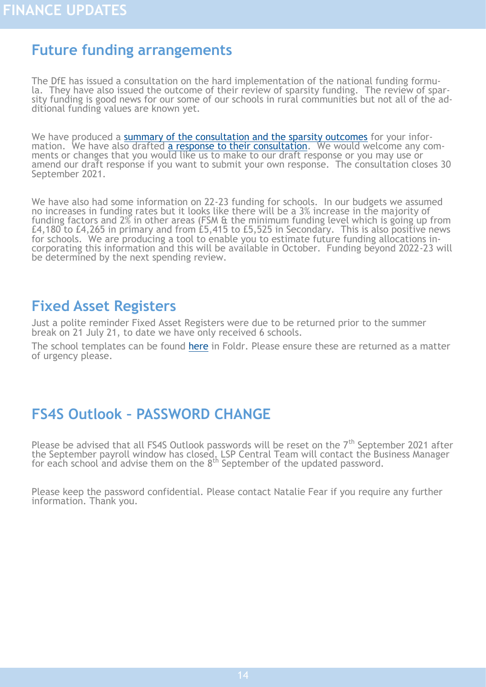### <span id="page-13-0"></span>**Future funding arrangements**

The DfE has issued a consultation on the hard implementation of the national funding formula. They have also issued the outcome of their review of sparsity funding. The review of sparsity funding is good news for our some of our schools in rural communities but not all of the additional funding values are known yet.

We have produced a [summary of the consultation and the sparsity outcomes](https://foldr.lsp.org.uk/public/W502P) for your information. We have also drafted [a response to their consultation.](https://foldr.lsp.org.uk/public/PY7QW) We would welcome any comments or changes that you would like us to make to our draft response or you may use or amend our draft response if you want to submit your own response. The consultation closes 30 September 2021.

We have also had some information on 22-23 funding for schools. In our budgets we assumed no increases in funding rates but it looks like there will be a 3% increase in the majority of funding factors and 2% in other areas (FSM  $\&$  the minimum funding level which is going up from £4,180 to £4,265 in primary and from £5,415 to £5,525 in Secondary. This is also positive news for schools. We are producing a tool to enable you to estimate future funding allocations incorporating this information and this will be available in October. Funding beyond 2022-23 will be determined by the next spending review.

#### **Fixed Asset Registers**

Just a polite reminder Fixed Asset Registers were due to be returned prior to the summer break on 21 July 21, to date we have only received 6 schools.

The school templates can be found [here](https://foldr.lsp.org.uk/public/WZKMW) in Foldr. Please ensure these are returned as a matter of urgency please.

### **FS4S Outlook – PASSWORD CHANGE**

Please be advised that all FS4S Outlook passwords will be reset on the  $7<sup>th</sup>$  September 2021 after the September payroll window has closed. LSP Central Team will contact the Business Manager for each school and advise them on the 8<sup>th</sup> September of the updated password.

Please keep the password confidential. Please contact Natalie Fear if you require any further information. Thank you.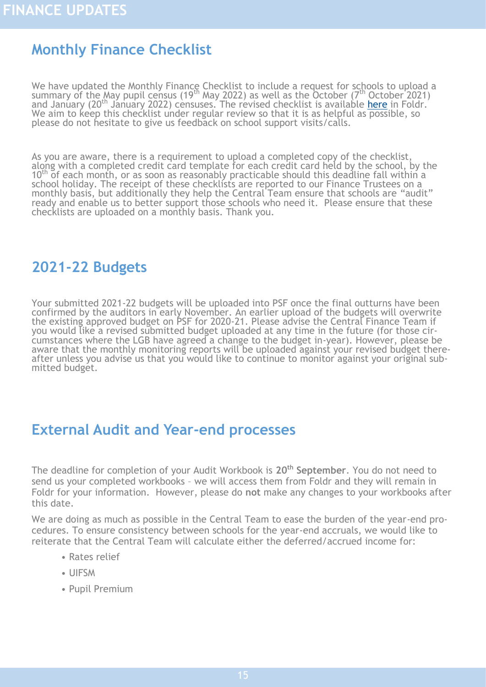# <span id="page-14-0"></span>**Monthly Finance Checklist**

We have updated the Monthly Finance Checklist to include a request for schools to upload a summary of the May pupil census (19<sup>th</sup> May 2022) as well as the October (7<sup>th</sup> October 2021) and January (20<sup>th</sup> January 2022) censuses. The revised checklist is available [here](https://foldr.lsp.org.uk/public/NOYZW) in Foldr. We aim to keep this checklist under regular review so that it is as helpful as possible, so please do not hesitate to give us feedback on school support visits/calls.

As you are aware, there is a requirement to upload a completed copy of the checklist, along with a completed credit card template for each credit card held by the school, by the 10<sup>th</sup> of each month, or as soon as reasonably practicable should this deadline fall within a school holiday. The receipt of these checklists are reported to our Finance Trustees on a monthly basis, but additionally they help the Central Team ensure that schools are "audit" ready and enable us to better support those schools who need it. Please ensure that these checklists are uploaded on a monthly basis. Thank you.

#### **2021-22 Budgets**

Your submitted 2021-22 budgets will be uploaded into PSF once the final outturns have been confirmed by the auditors in early November. An earlier upload of the budgets will overwrite the existing approved budget on PSF for 2020-21. Please advise the Central Finance Team if you would like a revised submitted budget uploaded at any time in the future (for those circumstances where the LGB have agreed a change to the budget in-year). However, please be aware that the monthly monitoring reports will be uploaded against your revised budget thereafter unless you advise us that you would like to continue to monitor against your original submitted budget.

# **External Audit and Year-end processes**

The deadline for completion of your Audit Workbook is **20th September**. You do not need to send us your completed workbooks – we will access them from Foldr and they will remain in Foldr for your information. However, please do **not** make any changes to your workbooks after this date.

We are doing as much as possible in the Central Team to ease the burden of the year-end procedures. To ensure consistency between schools for the year-end accruals, we would like to reiterate that the Central Team will calculate either the deferred/accrued income for:

- Rates relief
- UIFSM
- Pupil Premium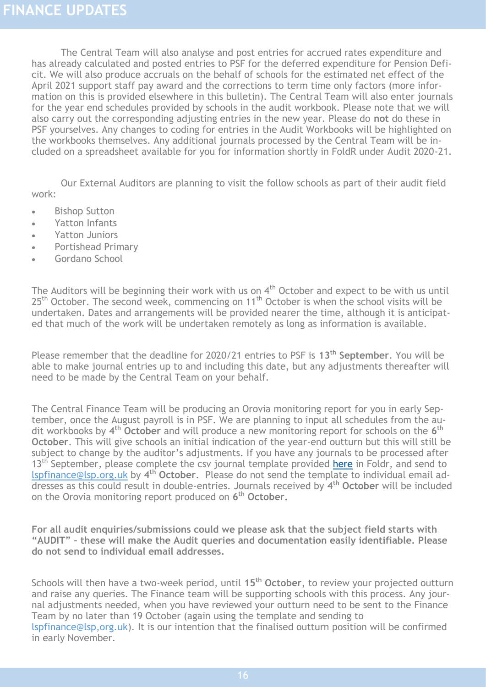The Central Team will also analyse and post entries for accrued rates expenditure and has already calculated and posted entries to PSF for the deferred expenditure for Pension Deficit. We will also produce accruals on the behalf of schools for the estimated net effect of the April 2021 support staff pay award and the corrections to term time only factors (more information on this is provided elsewhere in this bulletin). The Central Team will also enter journals for the year end schedules provided by schools in the audit workbook. Please note that we will also carry out the corresponding adjusting entries in the new year. Please do **not** do these in PSF yourselves. Any changes to coding for entries in the Audit Workbooks will be highlighted on the workbooks themselves. Any additional journals processed by the Central Team will be included on a spreadsheet available for you for information shortly in FoldR under Audit 2020-21.

Our External Auditors are planning to visit the follow schools as part of their audit field work:

- Bishop Sutton
- Yatton Infants
- Yatton Juniors
- Portishead Primary
- Gordano School

The Auditors will be beginning their work with us on  $4<sup>th</sup>$  October and expect to be with us until 25<sup>th</sup> October. The second week, commencing on 11<sup>th</sup> October is when the school visits will be undertaken. Dates and arrangements will be provided nearer the time, although it is anticipated that much of the work will be undertaken remotely as long as information is available.

Please remember that the deadline for 2020/21 entries to PSF is **13th September**. You will be able to make journal entries up to and including this date, but any adjustments thereafter will need to be made by the Central Team on your behalf.

The Central Finance Team will be producing an Orovia monitoring report for you in early September, once the August payroll is in PSF. We are planning to input all schedules from the audit workbooks by **4 th October** and will produce a new monitoring report for schools on the **6 th October**. This will give schools an initial indication of the year-end outturn but this will still be subject to change by the auditor's adjustments. If you have any journals to be processed after 13<sup>th</sup> September, please complete the csy journal template provided [here](https://foldr.lsp.org.uk/public/NQB6N) in Foldr, and send to [lspfinance@lsp.org.uk](mailto:lspfinance@lsp.org.uk) by **4 th October**. Please do not send the template to individual email addresses as this could result in double-entries. Journals received by **4 th October** will be included on the Orovia monitoring report produced on **6 th October.**

**For all audit enquiries/submissions could we please ask that the subject field starts with "AUDIT" – these will make the Audit queries and documentation easily identifiable. Please do not send to individual email addresses.**

Schools will then have a two-week period, until **15th October**, to review your projected outturn and raise any queries. The Finance team will be supporting schools with this process. Any journal adjustments needed, when you have reviewed your outturn need to be sent to the Finance Team by no later than 19 October (again using the template and sending to lspfinance@lsp,org.uk). It is our intention that the finalised outturn position will be confirmed in early November.